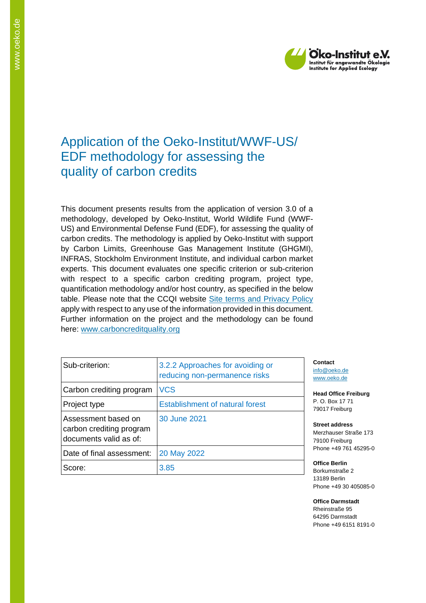

# Application of the Oeko-Institut/WWF-US/ EDF methodology for assessing the quality of carbon credits

This document presents results from the application of version 3.0 of a methodology, developed by Oeko-Institut, World Wildlife Fund (WWF-US) and Environmental Defense Fund (EDF), for assessing the quality of carbon credits. The methodology is applied by Oeko-Institut with support by Carbon Limits, Greenhouse Gas Management Institute (GHGMI), INFRAS, Stockholm Environment Institute, and individual carbon market experts. This document evaluates one specific criterion or sub-criterion with respect to a specific carbon crediting program, project type, quantification methodology and/or host country, as specified in the below table. Please note that the CCQI website [Site terms and Privacy Policy](https://carboncreditquality.org/terms.html) apply with respect to any use of the information provided in this document. Further information on the project and the methodology can be found here: [www.carboncreditquality.org](http://www.carboncreditquality.org/)

| Sub-criterion:                                                            | 3.2.2 Approaches for avoiding or<br>reducing non-permanence risks |
|---------------------------------------------------------------------------|-------------------------------------------------------------------|
| Carbon crediting program                                                  | <b>VCS</b>                                                        |
| Project type                                                              | <b>Establishment of natural forest</b>                            |
| Assessment based on<br>carbon crediting program<br>documents valid as of: | 30 June 2021                                                      |
| Date of final assessment:                                                 | 20 May 2022                                                       |
| Score:                                                                    | 3.85                                                              |

**Contact** [info@oeko.de](mailto:info@oeko.de) [www.oeko.de](http://www.oeko.de/)

**Head Office Freiburg** P. O. Box 17 71 79017 Freiburg

**Street address** Merzhauser Straße 173 79100 Freiburg Phone +49 761 45295-0

**Office Berlin** Borkumstraße 2 13189 Berlin Phone +49 30 405085-0

**Office Darmstadt** Rheinstraße 95 64295 Darmstadt Phone +49 6151 8191-0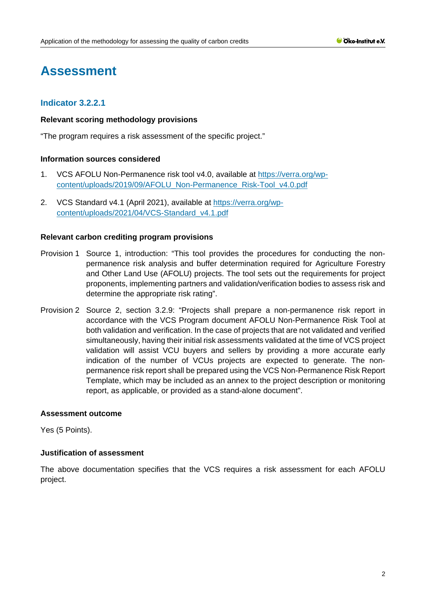# **Assessment**

# **Indicator 3.2.2.1**

## **Relevant scoring methodology provisions**

"The program requires a risk assessment of the specific project."

## **Information sources considered**

- 1. VCS AFOLU Non-Permanence risk tool v4.0, available at [https://verra.org/wp](https://verra.org/wp-content/uploads/2019/09/AFOLU_Non-Permanence_Risk-Tool_v4.0.pdf)[content/uploads/2019/09/AFOLU\\_Non-Permanence\\_Risk-Tool\\_v4.0.pdf](https://verra.org/wp-content/uploads/2019/09/AFOLU_Non-Permanence_Risk-Tool_v4.0.pdf)
- 2. VCS Standard v4.1 (April 2021), available at [https://verra.org/wp](https://verra.org/wp-content/uploads/2021/04/VCS-Standard_v4.1.pdf)[content/uploads/2021/04/VCS-Standard\\_v4.1.pdf](https://verra.org/wp-content/uploads/2021/04/VCS-Standard_v4.1.pdf)

## **Relevant carbon crediting program provisions**

- Provision 1 Source 1, introduction: "This tool provides the procedures for conducting the nonpermanence risk analysis and buffer determination required for Agriculture Forestry and Other Land Use (AFOLU) projects. The tool sets out the requirements for project proponents, implementing partners and validation/verification bodies to assess risk and determine the appropriate risk rating".
- Provision 2 Source 2, section 3.2.9: "Projects shall prepare a non-permanence risk report in accordance with the VCS Program document AFOLU Non-Permanence Risk Tool at both validation and verification. In the case of projects that are not validated and verified simultaneously, having their initial risk assessments validated at the time of VCS project validation will assist VCU buyers and sellers by providing a more accurate early indication of the number of VCUs projects are expected to generate. The nonpermanence risk report shall be prepared using the VCS Non-Permanence Risk Report Template, which may be included as an annex to the project description or monitoring report, as applicable, or provided as a stand-alone document".

### **Assessment outcome**

Yes (5 Points).

### **Justification of assessment**

The above documentation specifies that the VCS requires a risk assessment for each AFOLU project.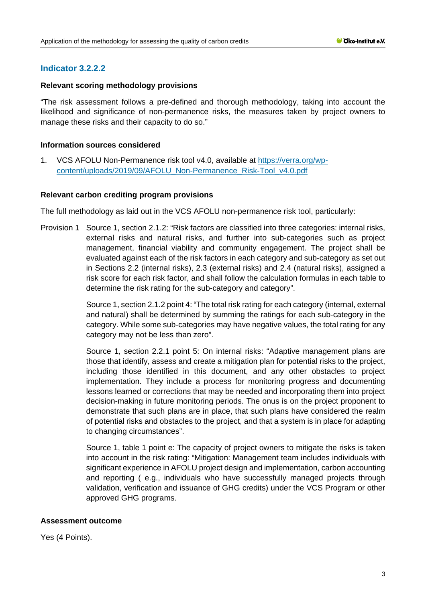# **Indicator 3.2.2.2**

## **Relevant scoring methodology provisions**

"The risk assessment follows a pre-defined and thorough methodology, taking into account the likelihood and significance of non-permanence risks, the measures taken by project owners to manage these risks and their capacity to do so."

## **Information sources considered**

1. VCS AFOLU Non-Permanence risk tool v4.0, available at [https://verra.org/wp](https://verra.org/wp-content/uploads/2019/09/AFOLU_Non-Permanence_Risk-Tool_v4.0.pdf)[content/uploads/2019/09/AFOLU\\_Non-Permanence\\_Risk-Tool\\_v4.0.pdf](https://verra.org/wp-content/uploads/2019/09/AFOLU_Non-Permanence_Risk-Tool_v4.0.pdf)

## **Relevant carbon crediting program provisions**

The full methodology as laid out in the VCS AFOLU non-permanence risk tool, particularly:

Provision 1 Source 1, section 2.1.2: "Risk factors are classified into three categories: internal risks, external risks and natural risks, and further into sub-categories such as project management, financial viability and community engagement. The project shall be evaluated against each of the risk factors in each category and sub-category as set out in Sections 2.2 (internal risks), 2.3 (external risks) and 2.4 (natural risks), assigned a risk score for each risk factor, and shall follow the calculation formulas in each table to determine the risk rating for the sub-category and category".

> Source 1, section 2.1.2 point 4: "The total risk rating for each category (internal, external and natural) shall be determined by summing the ratings for each sub-category in the category. While some sub-categories may have negative values, the total rating for any category may not be less than zero".

> Source 1, section 2.2.1 point 5: On internal risks: "Adaptive management plans are those that identify, assess and create a mitigation plan for potential risks to the project, including those identified in this document, and any other obstacles to project implementation. They include a process for monitoring progress and documenting lessons learned or corrections that may be needed and incorporating them into project decision-making in future monitoring periods. The onus is on the project proponent to demonstrate that such plans are in place, that such plans have considered the realm of potential risks and obstacles to the project, and that a system is in place for adapting to changing circumstances".

> Source 1, table 1 point e: The capacity of project owners to mitigate the risks is taken into account in the risk rating: "Mitigation: Management team includes individuals with significant experience in AFOLU project design and implementation, carbon accounting and reporting ( e.g., individuals who have successfully managed projects through validation, verification and issuance of GHG credits) under the VCS Program or other approved GHG programs.

## **Assessment outcome**

Yes (4 Points).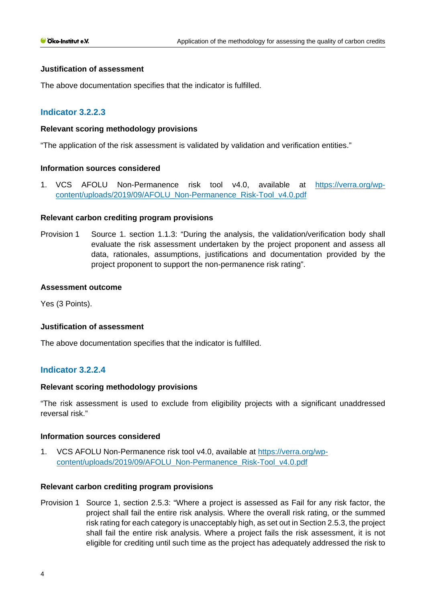#### **Justification of assessment**

The above documentation specifies that the indicator is fulfilled.

## **Indicator 3.2.2.3**

### **Relevant scoring methodology provisions**

"The application of the risk assessment is validated by validation and verification entities."

#### **Information sources considered**

1. VCS AFOLU Non-Permanence risk tool v4.0, available at [https://verra.org/wp](https://verra.org/wp-content/uploads/2019/09/AFOLU_Non-Permanence_Risk-Tool_v4.0.pdf)[content/uploads/2019/09/AFOLU\\_Non-Permanence\\_Risk-Tool\\_v4.0.pdf](https://verra.org/wp-content/uploads/2019/09/AFOLU_Non-Permanence_Risk-Tool_v4.0.pdf)

#### **Relevant carbon crediting program provisions**

Provision 1 Source 1. section 1.1.3: "During the analysis, the validation/verification body shall evaluate the risk assessment undertaken by the project proponent and assess all data, rationales, assumptions, justifications and documentation provided by the project proponent to support the non-permanence risk rating".

#### **Assessment outcome**

Yes (3 Points).

#### **Justification of assessment**

The above documentation specifies that the indicator is fulfilled.

#### **Indicator 3.2.2.4**

#### **Relevant scoring methodology provisions**

"The risk assessment is used to exclude from eligibility projects with a significant unaddressed reversal risk."

#### **Information sources considered**

1. VCS AFOLU Non-Permanence risk tool v4.0, available at [https://verra.org/wp](https://verra.org/wp-content/uploads/2019/09/AFOLU_Non-Permanence_Risk-Tool_v4.0.pdf)[content/uploads/2019/09/AFOLU\\_Non-Permanence\\_Risk-Tool\\_v4.0.pdf](https://verra.org/wp-content/uploads/2019/09/AFOLU_Non-Permanence_Risk-Tool_v4.0.pdf)

#### **Relevant carbon crediting program provisions**

Provision 1 Source 1, section 2.5.3: "Where a project is assessed as Fail for any risk factor, the project shall fail the entire risk analysis. Where the overall risk rating, or the summed risk rating for each category is unacceptably high, as set out in Section 2.5.3, the project shall fail the entire risk analysis. Where a project fails the risk assessment, it is not eligible for crediting until such time as the project has adequately addressed the risk to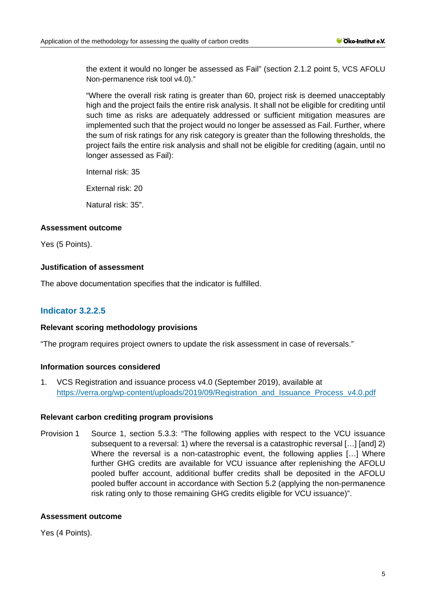the extent it would no longer be assessed as Fail" (section 2.1.2 point 5, VCS AFOLU Non-permanence risk tool v4.0)."

"Where the overall risk rating is greater than 60, project risk is deemed unacceptably high and the project fails the entire risk analysis. It shall not be eligible for crediting until such time as risks are adequately addressed or sufficient mitigation measures are implemented such that the project would no longer be assessed as Fail. Further, where the sum of risk ratings for any risk category is greater than the following thresholds, the project fails the entire risk analysis and shall not be eligible for crediting (again, until no longer assessed as Fail):

Internal risk: 35

External risk: 20

Natural risk: 35".

## **Assessment outcome**

Yes (5 Points).

## **Justification of assessment**

The above documentation specifies that the indicator is fulfilled.

# **Indicator 3.2.2.5**

#### **Relevant scoring methodology provisions**

"The program requires project owners to update the risk assessment in case of reversals."

## **Information sources considered**

1. VCS Registration and issuance process v4.0 (September 2019), available at [https://verra.org/wp-content/uploads/2019/09/Registration\\_and\\_Issuance\\_Process\\_v4.0.pdf](https://verra.org/wp-content/uploads/2019/09/Registration_and_Issuance_Process_v4.0.pdf) 

## **Relevant carbon crediting program provisions**

Provision 1 Source 1, section 5.3.3: "The following applies with respect to the VCU issuance subsequent to a reversal: 1) where the reversal is a catastrophic reversal […] [and] 2) Where the reversal is a non-catastrophic event, the following applies [...] Where further GHG credits are available for VCU issuance after replenishing the AFOLU pooled buffer account, additional buffer credits shall be deposited in the AFOLU pooled buffer account in accordance with Section 5.2 (applying the non-permanence risk rating only to those remaining GHG credits eligible for VCU issuance)".

#### **Assessment outcome**

Yes (4 Points).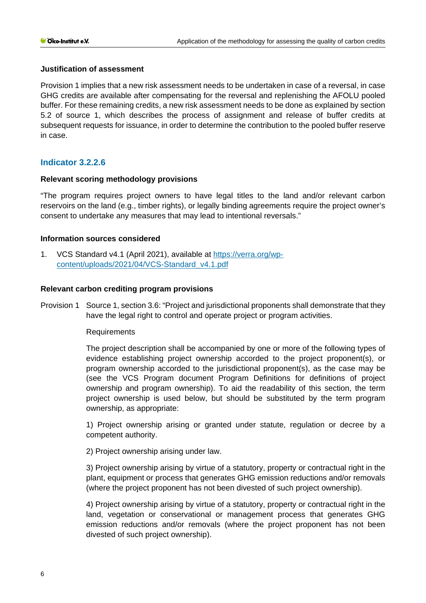## **Justification of assessment**

Provision 1 implies that a new risk assessment needs to be undertaken in case of a reversal, in case GHG credits are available after compensating for the reversal and replenishing the AFOLU pooled buffer. For these remaining credits, a new risk assessment needs to be done as explained by section 5.2 of source 1, which describes the process of assignment and release of buffer credits at subsequent requests for issuance, in order to determine the contribution to the pooled buffer reserve in case.

## **Indicator 3.2.2.6**

## **Relevant scoring methodology provisions**

"The program requires project owners to have legal titles to the land and/or relevant carbon reservoirs on the land (e.g., timber rights), or legally binding agreements require the project owner's consent to undertake any measures that may lead to intentional reversals."

## **Information sources considered**

1. VCS Standard v4.1 (April 2021), available at [https://verra.org/wp](https://verra.org/wp-content/uploads/2021/04/VCS-Standard_v4.1.pdf)[content/uploads/2021/04/VCS-Standard\\_v4.1.pdf](https://verra.org/wp-content/uploads/2021/04/VCS-Standard_v4.1.pdf)

#### **Relevant carbon crediting program provisions**

Provision 1 Source 1, section 3.6: "Project and jurisdictional proponents shall demonstrate that they have the legal right to control and operate project or program activities.

#### **Requirements**

The project description shall be accompanied by one or more of the following types of evidence establishing project ownership accorded to the project proponent(s), or program ownership accorded to the jurisdictional proponent(s), as the case may be (see the VCS Program document Program Definitions for definitions of project ownership and program ownership). To aid the readability of this section, the term project ownership is used below, but should be substituted by the term program ownership, as appropriate:

1) Project ownership arising or granted under statute, regulation or decree by a competent authority.

2) Project ownership arising under law.

3) Project ownership arising by virtue of a statutory, property or contractual right in the plant, equipment or process that generates GHG emission reductions and/or removals (where the project proponent has not been divested of such project ownership).

4) Project ownership arising by virtue of a statutory, property or contractual right in the land, vegetation or conservational or management process that generates GHG emission reductions and/or removals (where the project proponent has not been divested of such project ownership).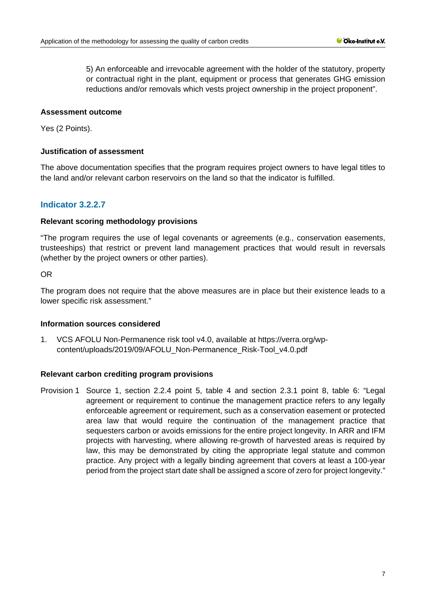5) An enforceable and irrevocable agreement with the holder of the statutory, property or contractual right in the plant, equipment or process that generates GHG emission reductions and/or removals which vests project ownership in the project proponent".

#### **Assessment outcome**

Yes (2 Points).

## **Justification of assessment**

The above documentation specifies that the program requires project owners to have legal titles to the land and/or relevant carbon reservoirs on the land so that the indicator is fulfilled.

## **Indicator 3.2.2.7**

## **Relevant scoring methodology provisions**

"The program requires the use of legal covenants or agreements (e.g., conservation easements, trusteeships) that restrict or prevent land management practices that would result in reversals (whether by the project owners or other parties).

OR

The program does not require that the above measures are in place but their existence leads to a lower specific risk assessment."

#### **Information sources considered**

1. VCS AFOLU Non-Permanence risk tool v4.0, available at [https://verra.org/wp](https://verra.org/wp-content/uploads/2019/09/AFOLU_Non-Permanence_Risk-Tool_v4.0.pdf)[content/uploads/2019/09/AFOLU\\_Non-Permanence\\_Risk-Tool\\_v4.0.pdf](https://verra.org/wp-content/uploads/2019/09/AFOLU_Non-Permanence_Risk-Tool_v4.0.pdf)

#### **Relevant carbon crediting program provisions**

Provision 1 Source 1, section 2.2.4 point 5, table 4 and section 2.3.1 point 8, table 6: "Legal agreement or requirement to continue the management practice refers to any legally enforceable agreement or requirement, such as a conservation easement or protected area law that would require the continuation of the management practice that sequesters carbon or avoids emissions for the entire project longevity. In ARR and IFM projects with harvesting, where allowing re-growth of harvested areas is required by law, this may be demonstrated by citing the appropriate legal statute and common practice. Any project with a legally binding agreement that covers at least a 100-year period from the project start date shall be assigned a score of zero for project longevity."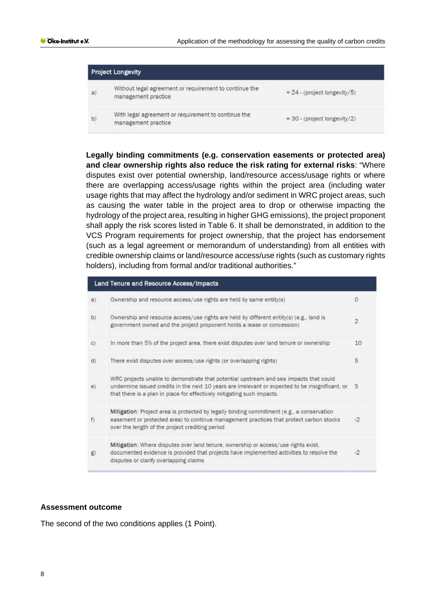|    | <b>Project Longevity</b>                                                      |                                |  |
|----|-------------------------------------------------------------------------------|--------------------------------|--|
| a) | Without legal agreement or requirement to continue the<br>management practice | $= 24$ - (project longevity/5) |  |
| b) | With legal agreement or requirement to continue the<br>management practice    | $= 30$ - (project longevity/2) |  |

**Legally binding commitments (e.g. conservation easements or protected area) and clear ownership rights also reduce the risk rating for external risks**: "Where disputes exist over potential ownership, land/resource access/usage rights or where there are overlapping access/usage rights within the project area (including water usage rights that may affect the hydrology and/or sediment in WRC project areas, such as causing the water table in the project area to drop or otherwise impacting the hydrology of the project area, resulting in higher GHG emissions), the project proponent shall apply the risk scores listed in Table 6. It shall be demonstrated, in addition to the VCS Program requirements for project ownership, that the project has endorsement (such as a legal agreement or memorandum of understanding) from all entities with credible ownership claims or land/resource access/use rights (such as customary rights holders), including from formal and/or traditional authorities."

| Land Tenure and Resource Access/Impacts |                                                                                                                                                                                                                                                                     |                |  |  |
|-----------------------------------------|---------------------------------------------------------------------------------------------------------------------------------------------------------------------------------------------------------------------------------------------------------------------|----------------|--|--|
| a)                                      | Ownership and resource access/use rights are held by same entity(s)                                                                                                                                                                                                 | 0              |  |  |
| b)                                      | Ownership and resource access/use rights are held by different entity(s) (e.g., land is<br>government owned and the project proponent holds a lease or concession)                                                                                                  | $\overline{2}$ |  |  |
| C)                                      | In more than 5% of the project area, there exist disputes over land tenure or ownership                                                                                                                                                                             | 10             |  |  |
| d)                                      | There exist disputes over access/use rights (or overlapping rights)                                                                                                                                                                                                 | 5              |  |  |
| e)                                      | WRC projects unable to demonstrate that potential upstream and sea impacts that could<br>undermine issued credits in the next 10 years are irrelevant or expected to be insignificant, or<br>that there is a plan in place for effectively mitigating such impacts. | 5              |  |  |
| f                                       | Mitigation: Project area is protected by legally binding commitment (e.g., a conservation<br>easement or protected area) to continue management practices that protect carbon stocks<br>over the length of the project crediting period                             | $-2$           |  |  |
| g)                                      | Mitigation: Where disputes over land tenure, ownership or access/use rights exist,<br>documented evidence is provided that projects have implemented activities to resolve the<br>disputes or clarify overlapping claims                                            | $-2$           |  |  |

### **Assessment outcome**

The second of the two conditions applies (1 Point).